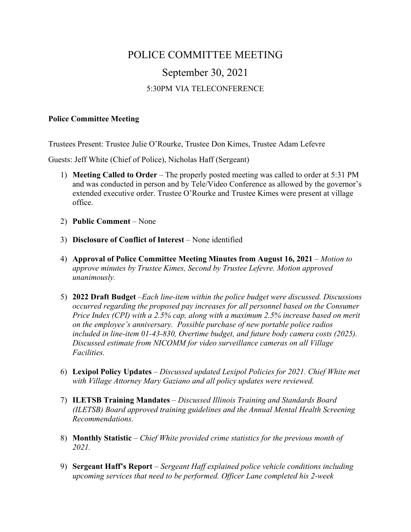## POLICE COMMITTEE MEETING September 30, 2021 5:30PM VIA TELECONFERENCE

## **Police Committee Meeting**

Trustees Present: Trustee Julie O'Rourke, Trustee Don Kimes, Trustee Adam Lefevre

Guests: Jeff White (Chief of Police), Nicholas Haff (Sergeant)

- 1) **Meeting Called to Order** The properly posted meeting was called to order at 5:31 PM and was conducted in person and by Tele/Video Conference as allowed by the governor's extended executive order. Trustee O'Rourke and Trustee Kimes were present at village office.
- 2) **Public Comment** None
- 3) **Disclosure of Conflict of Interest** None identified
- 4) **Approval of Police Committee Meeting Minutes from August 16, 2021** *Motion to approve minutes by Trustee Kimes, Second by Trustee Lefevre. Motion approved unanimously.*
- 5) **2022 Draft Budget** –*Each line-item within the police budget were discussed. Discussions occurred regarding the proposed pay increases for all personnel based on the Consumer Price Index (CPI) with a 2.5% cap, along with a maximum 2.5% increase based on merit on the employee's anniversary. Possible purchase of new portable police radios included in line-item 01-43-830, Overtime budget, and future body camera costs (2025). Discussed estimate from NICOMM for video surveillance cameras on all Village Facilities.*
- 6) **Lexipol Policy Updates** *Discussed updated Lexipol Policies for 2021. Chief White met with Village Attorney Mary Gaziano and all policy updates were reviewed.*
- 7) **ILETSB Training Mandates** *Discussed Illinois Training and Standards Board (ILETSB) Board approved training guidelines and the Annual Mental Health Screening Recommendations.*
- 8) **Monthly Statistic** *Chief White provided crime statistics for the previous month of 2021.*
- 9) **Sergeant Haff's Report** *Sergeant Haff explained police vehicle conditions including upcoming services that need to be performed. Officer Lane completed his 2-week*